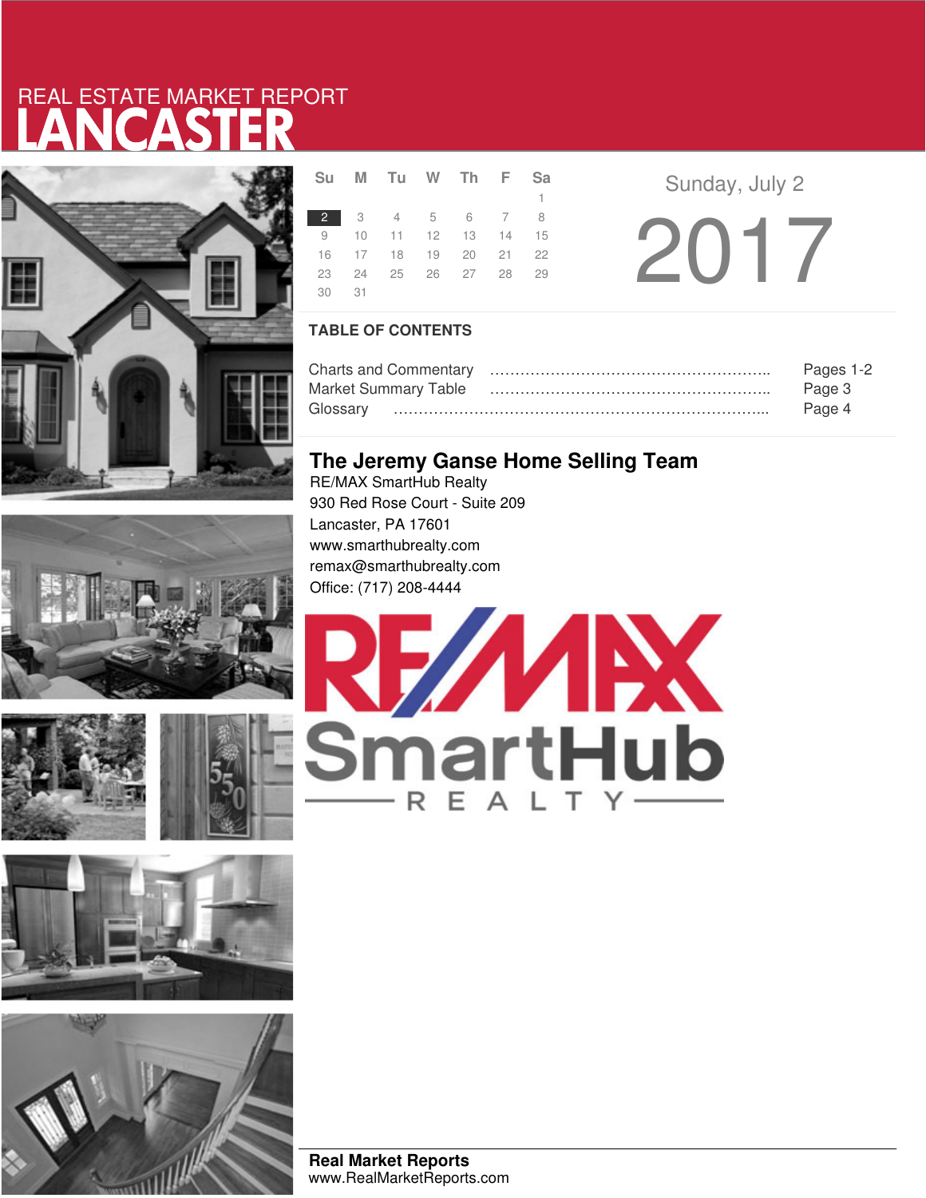# LANCASTER REAL ESTATE MARKET REPORT











|       | Su M Tu W Th F Sa    |  |    |  |
|-------|----------------------|--|----|--|
|       |                      |  | 1. |  |
|       | 2 3 4 5 6 7 8        |  |    |  |
|       | 9 10 11 12 13 14 15  |  |    |  |
|       | 16 17 18 19 20 21 22 |  |    |  |
|       | 23 24 25 26 27 28 29 |  |    |  |
| 30 31 |                      |  |    |  |

**Sunday, July 2** 2017

### **TABLE OF CONTENTS**

|                      | Pages 1-2 |
|----------------------|-----------|
| Market Summary Table | Page 3    |
|                      | Page 4    |

### **The Jeremy Ganse Home Selling Team**

RE/MAX SmartHub Realty 930 Red Rose Court - Suite 209 Lancaster, PA 17601 www.smarthubrealty.com remax@smarthubrealty.com Office: (717) 208-4444



**Real Market Reports** www.RealMarketReports.com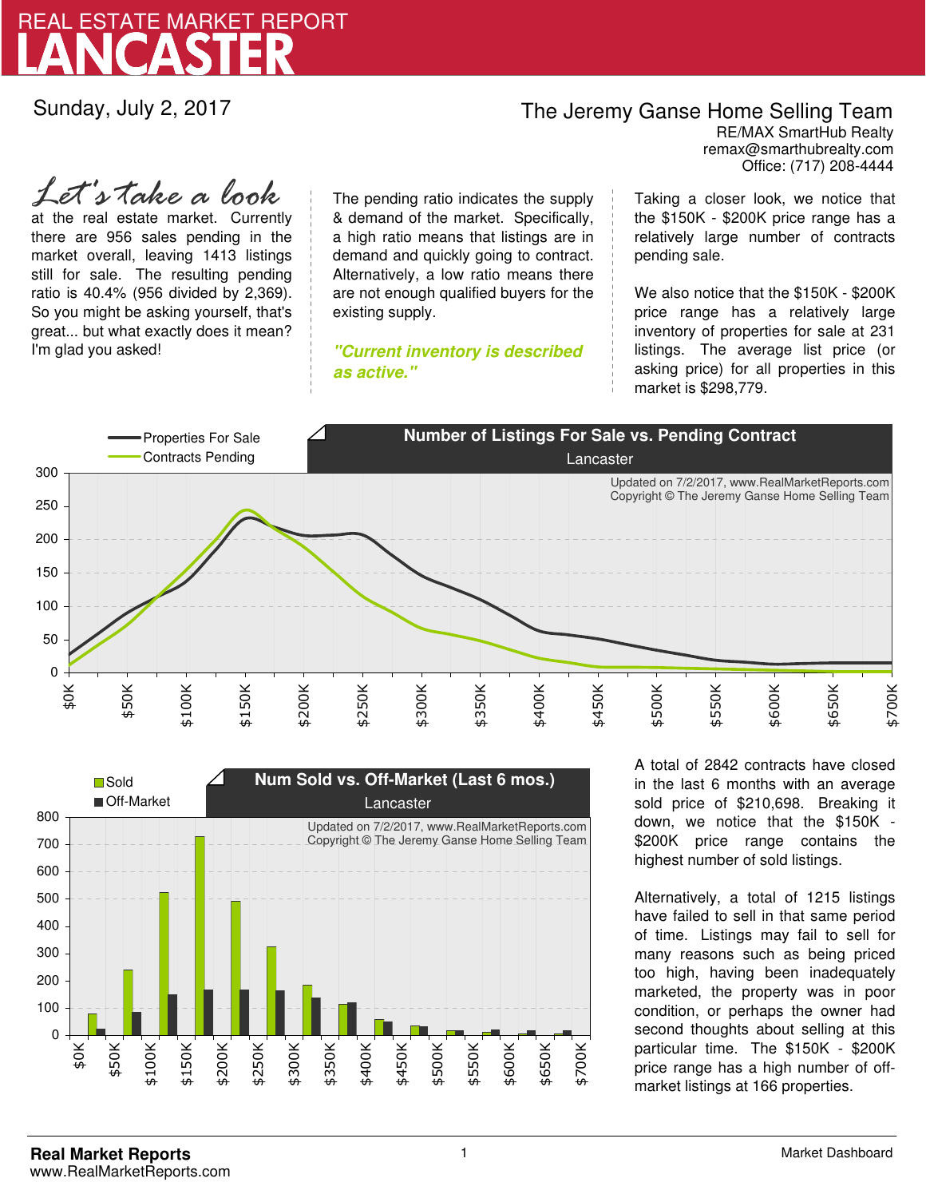

Sunday, July 2, 2017

### The Jeremy Ganse Home Selling Team

remax@smarthubrealty.com RE/MAX SmartHub Realty Office: (717) 208-4444

at the real estate market. Currently there are 956 sales pending in the market overall, leaving 1413 listings still for sale. The resulting pending ratio is 40.4% (956 divided by 2,369). So you might be asking yourself, that's great... but what exactly does it mean? I'm glad you asked! *Let's take a look*

The pending ratio indicates the supply & demand of the market. Specifically, a high ratio means that listings are in demand and quickly going to contract. Alternatively, a low ratio means there are not enough qualified buyers for the existing supply.

**"Current inventory is described as active."**

Taking a closer look, we notice that the \$150K - \$200K price range has a relatively large number of contracts pending sale.

We also notice that the \$150K - \$200K price range has a relatively large inventory of properties for sale at 231 listings. The average list price (or asking price) for all properties in this market is \$298,779.





A total of 2842 contracts have closed in the last 6 months with an average sold price of \$210,698. Breaking it down, we notice that the \$150K - \$200K price range contains the highest number of sold listings.

Alternatively, a total of 1215 listings have failed to sell in that same period of time. Listings may fail to sell for many reasons such as being priced too high, having been inadequately marketed, the property was in poor condition, or perhaps the owner had second thoughts about selling at this particular time. The \$150K - \$200K price range has a high number of offmarket listings at 166 properties.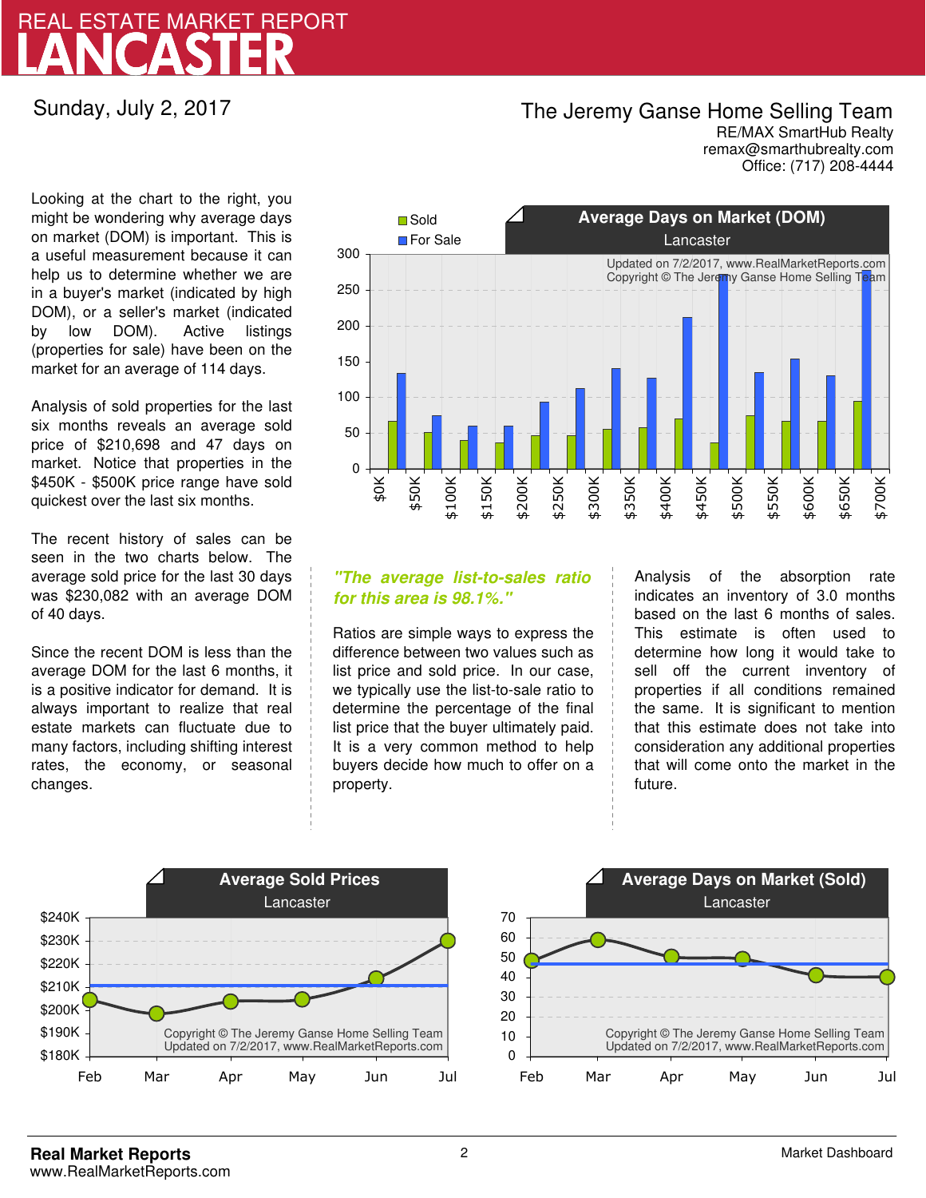## LANCASTER REAL ESTATE MARKET REPORT

Sunday, July 2, 2017

## The Jeremy Ganse Home Selling Team

remax@smarthubrealty.com RE/MAX SmartHub Realty Office: (717) 208-4444

Looking at the chart to the right, you might be wondering why average days on market (DOM) is important. This is a useful measurement because it can help us to determine whether we are in a buyer's market (indicated by high DOM), or a seller's market (indicated by low DOM). Active listings (properties for sale) have been on the market for an average of 114 days.

Analysis of sold properties for the last six months reveals an average sold price of \$210,698 and 47 days on market. Notice that properties in the \$450K - \$500K price range have sold quickest over the last six months.

The recent history of sales can be seen in the two charts below. The average sold price for the last 30 days was \$230,082 with an average DOM of 40 days.

Since the recent DOM is less than the average DOM for the last 6 months, it is a positive indicator for demand. It is always important to realize that real estate markets can fluctuate due to many factors, including shifting interest rates, the economy, or seasonal changes.



### **"The average list-to-sales ratio for this area is 98.1%."**

Ratios are simple ways to express the difference between two values such as list price and sold price. In our case, we typically use the list-to-sale ratio to determine the percentage of the final list price that the buyer ultimately paid. It is a very common method to help buyers decide how much to offer on a property.

Analysis of the absorption rate indicates an inventory of 3.0 months based on the last 6 months of sales. This estimate is often used to determine how long it would take to sell off the current inventory of properties if all conditions remained the same. It is significant to mention that this estimate does not take into consideration any additional properties that will come onto the market in the future.



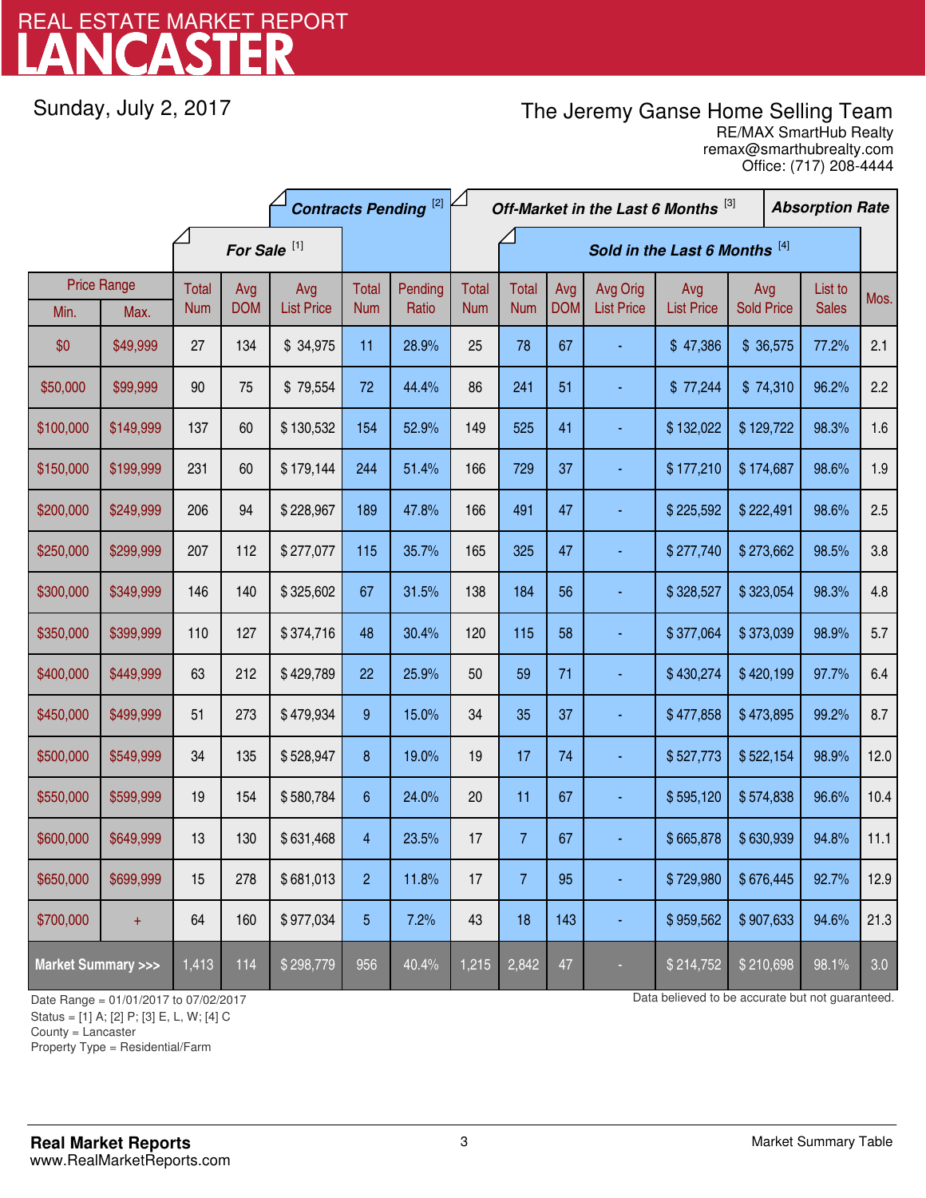# LANCASTER REAL ESTATE MARKET REPORT

Sunday, July 2, 2017

## The Jeremy Ganse Home Selling Team

remax@smarthubrealty.com RE/MAX SmartHub Realty Office: (717) 208-4444

|                                    |                    | <b>Contracts Pending [2]</b> |                         |                   | Off-Market in the Last 6 Months [3] |         |              |                               |            |                   | <b>Absorption Rate</b> |                   |  |              |      |
|------------------------------------|--------------------|------------------------------|-------------------------|-------------------|-------------------------------------|---------|--------------|-------------------------------|------------|-------------------|------------------------|-------------------|--|--------------|------|
|                                    |                    |                              | For Sale <sup>[1]</sup> |                   |                                     |         |              | Sold in the Last 6 Months [4] |            |                   |                        |                   |  |              |      |
|                                    | <b>Price Range</b> | <b>Total</b>                 | Avg                     | Avg               | Total                               | Pending | <b>Total</b> | <b>Total</b>                  | Avg        | Avg Orig          | Avg                    | Avg               |  | List to      | Mos. |
| Min.                               | Max.               | <b>Num</b>                   | <b>DOM</b>              | <b>List Price</b> | <b>Num</b>                          | Ratio   | <b>Num</b>   | <b>Num</b>                    | <b>DOM</b> | <b>List Price</b> | <b>List Price</b>      | <b>Sold Price</b> |  | <b>Sales</b> |      |
| \$0                                | \$49,999           | 27                           | 134                     | \$34,975          | 11                                  | 28.9%   | 25           | 78                            | 67         |                   | \$47,386               | \$36,575          |  | 77.2%        | 2.1  |
| \$50,000                           | \$99,999           | 90                           | 75                      | \$79,554          | 72                                  | 44.4%   | 86           | 241                           | 51         | ÷                 | \$77,244               | \$74,310          |  | 96.2%        | 2.2  |
| \$100,000                          | \$149,999          | 137                          | 60                      | \$130,532         | 154                                 | 52.9%   | 149          | 525                           | 41         |                   | \$132,022              | \$129,722         |  | 98.3%        | 1.6  |
| \$150,000                          | \$199,999          | 231                          | 60                      | \$179,144         | 244                                 | 51.4%   | 166          | 729                           | 37         |                   | \$177,210              | \$174,687         |  | 98.6%        | 1.9  |
| \$200,000                          | \$249,999          | 206                          | 94                      | \$228,967         | 189                                 | 47.8%   | 166          | 491                           | 47         |                   | \$225,592              | \$222,491         |  | 98.6%        | 2.5  |
| \$250,000                          | \$299,999          | 207                          | 112                     | \$277,077         | 115                                 | 35.7%   | 165          | 325                           | 47         |                   | \$277,740              | \$273,662         |  | 98.5%        | 3.8  |
| \$300,000                          | \$349,999          | 146                          | 140                     | \$325,602         | 67                                  | 31.5%   | 138          | 184                           | 56         |                   | \$328,527              | \$323,054         |  | 98.3%        | 4.8  |
| \$350,000                          | \$399,999          | 110                          | 127                     | \$374,716         | 48                                  | 30.4%   | 120          | 115                           | 58         |                   | \$377,064              | \$373,039         |  | 98.9%        | 5.7  |
| \$400,000                          | \$449,999          | 63                           | 212                     | \$429,789         | 22                                  | 25.9%   | 50           | 59                            | 71         |                   | \$430,274              | \$420,199         |  | 97.7%        | 6.4  |
| \$450,000                          | \$499,999          | 51                           | 273                     | \$479,934         | 9                                   | 15.0%   | 34           | 35                            | 37         |                   | \$477,858              | \$473,895         |  | 99.2%        | 8.7  |
| \$500,000                          | \$549,999          | 34                           | 135                     | \$528,947         | 8                                   | 19.0%   | 19           | 17                            | 74         |                   | \$527,773              | \$522,154         |  | 98.9%        | 12.0 |
| \$550,000                          | \$599,999          | 19                           | 154                     | \$580,784         | 6                                   | 24.0%   | 20           | 11                            | 67         |                   | \$595,120              | \$574,838         |  | 96.6%        | 10.4 |
| \$600,000                          | \$649,999          | 13                           | 130                     | \$631,468         | $\overline{4}$                      | 23.5%   | 17           | $\overline{7}$                | 67         |                   | \$665,878              | \$630,939         |  | 94.8%        | 11.1 |
| \$650,000                          | \$699,999          | 15                           | 278                     | \$681,013         | $\overline{2}$                      | 11.8%   | 17           | $\overline{7}$                | 95         |                   | \$729,980              | \$676,445         |  | 92.7%        | 12.9 |
| \$700,000                          | $+$                | 64                           | 160                     | \$977,034         | 5                                   | 7.2%    | 43           | 18                            | 143        | ÷                 | \$959,562              | \$907,633         |  | 94.6%        | 21.3 |
| <b>Market Summary &gt;&gt;&gt;</b> |                    | 1,413                        | 114                     | \$298,779         | 956                                 | 40.4%   | 1,215        | 2,842                         | 47         |                   | \$214,752              | \$210,698         |  | 98.1%        | 3.0  |

Status = [1] A; [2] P; [3] E, L, W; [4] C

County = Lancaster

1

Property Type = Residential/Farm

Date Range = 01/01/2017 to 07/02/2017 **Date Range = 01/01/2017** to 07/02/2017